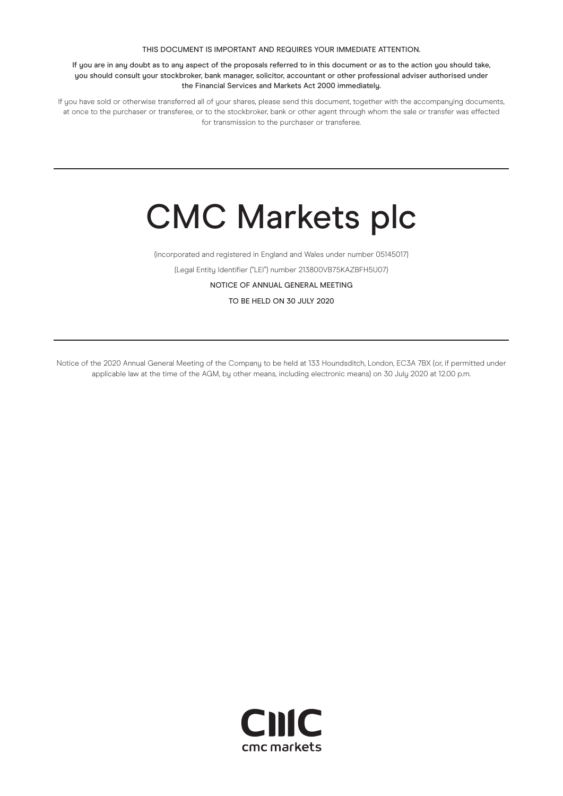#### THIS DOCUMENT IS IMPORTANT AND REQUIRES YOUR IMMEDIATE ATTENTION.

If you are in any doubt as to any aspect of the proposals referred to in this document or as to the action you should take, you should consult your stockbroker, bank manager, solicitor, accountant or other professional adviser authorised under the Financial Services and Markets Act 2000 immediately.

If you have sold or otherwise transferred all of your shares, please send this document, together with the accompanying documents, at once to the purchaser or transferee, or to the stockbroker, bank or other agent through whom the sale or transfer was effected for transmission to the purchaser or transferee.

# CMC Markets plc

(incorporated and registered in England and Wales under number 05145017)

(Legal Entity Identifier ("LEI") number 213800VB75KAZBFH5U07)

NOTICE OF ANNUAL GENERAL MEETING

TO BE HELD ON 30 JULY 2020

Notice of the 2020 Annual General Meeting of the Company to be held at 133 Houndsditch, London, EC3A 7BX (or, if permitted under applicable law at the time of the AGM, by other means, including electronic means) on 30 July 2020 at 12.00 p.m.

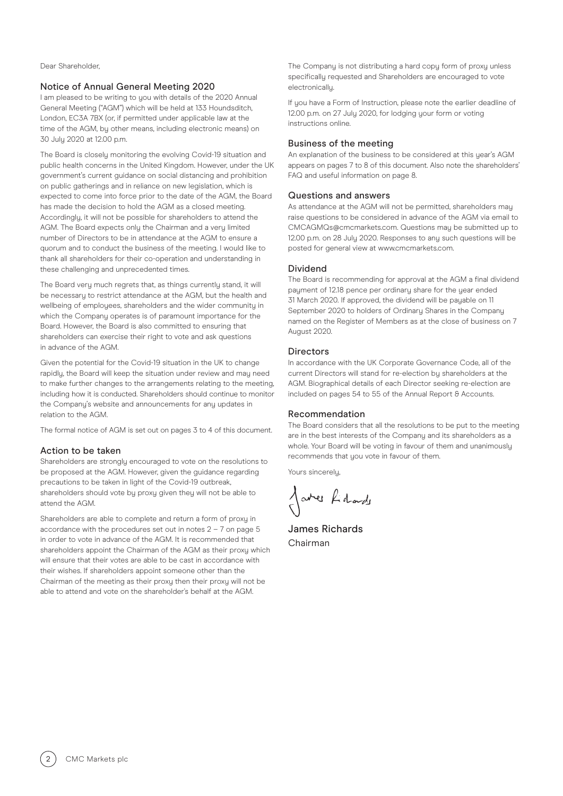Dear Shareholder,

#### Notice of Annual General Meeting 2020

I am pleased to be writing to you with details of the 2020 Annual General Meeting ("AGM") which will be held at 133 Houndsditch, London, EC3A 7BX (or, if permitted under applicable law at the time of the AGM, by other means, including electronic means) on 30 July 2020 at 12.00 p.m.

The Board is closely monitoring the evolving Covid-19 situation and public health concerns in the United Kingdom. However, under the UK government's current guidance on social distancing and prohibition on public gatherings and in reliance on new legislation, which is expected to come into force prior to the date of the AGM, the Board has made the decision to hold the AGM as a closed meeting. Accordingly, it will not be possible for shareholders to attend the AGM. The Board expects only the Chairman and a very limited number of Directors to be in attendance at the AGM to ensure a quorum and to conduct the business of the meeting. I would like to thank all shareholders for their co-operation and understanding in these challenging and unprecedented times.

The Board very much regrets that, as things currently stand, it will be necessary to restrict attendance at the AGM, but the health and wellbeing of employees, shareholders and the wider community in which the Company operates is of paramount importance for the Board. However, the Board is also committed to ensuring that shareholders can exercise their right to vote and ask questions in advance of the AGM.

Given the potential for the Covid-19 situation in the UK to change rapidly, the Board will keep the situation under review and may need to make further changes to the arrangements relating to the meeting, including how it is conducted. Shareholders should continue to monitor the Company's website and announcements for any updates in relation to the AGM.

The formal notice of AGM is set out on pages 3 to 4 of this document.

#### Action to be taken

Shareholders are strongly encouraged to vote on the resolutions to be proposed at the AGM. However, given the guidance regarding precautions to be taken in light of the Covid-19 outbreak, shareholders should vote by proxy given they will not be able to attend the AGM.

Shareholders are able to complete and return a form of proxy in accordance with the procedures set out in notes  $2 - 7$  on page  $5$ in order to vote in advance of the AGM. It is recommended that shareholders appoint the Chairman of the AGM as their proxy which will ensure that their votes are able to be cast in accordance with their wishes. If shareholders appoint someone other than the Chairman of the meeting as their proxy then their proxy will not be able to attend and vote on the shareholder's behalf at the AGM.

The Company is not distributing a hard copy form of proxy unless specifically requested and Shareholders are encouraged to vote electronically.

If you have a Form of Instruction, please note the earlier deadline of 12.00 p.m. on 27 July 2020, for lodging your form or voting instructions online.

#### Business of the meeting

An explanation of the business to be considered at this year's AGM appears on pages 7 to 8 of this document. Also note the shareholders' FAQ and useful information on page 8.

#### Questions and answers

As attendance at the AGM will not be permitted, shareholders mau raise questions to be considered in advance of the AGM via email to CMCAGMQs@cmcmarkets.com. Questions may be submitted up to 12.00 p.m. on 28 July 2020. Responses to any such questions will be posted for general view at www.cmcmarkets.com.

#### Dividend

The Board is recommending for approval at the AGM a final dividend payment of 12.18 pence per ordinary share for the year ended 31 March 2020. If approved, the dividend will be pauable on 11 September 2020 to holders of Ordinary Shares in the Company named on the Register of Members as at the close of business on 7 August 2020.

#### **Directors**

In accordance with the UK Corporate Governance Code, all of the current Directors will stand for re-election by shareholders at the AGM. Biographical details of each Director seeking re-election are included on pages 54 to 55 of the Annual Report & Accounts.

#### Recommendation

The Board considers that all the resolutions to be put to the meeting are in the best interests of the Company and its shareholders as a whole. Your Board will be voting in favour of them and unanimously recommends that you vote in favour of them.

Yours sincerely,

Jares Lidade

James Richards Chairman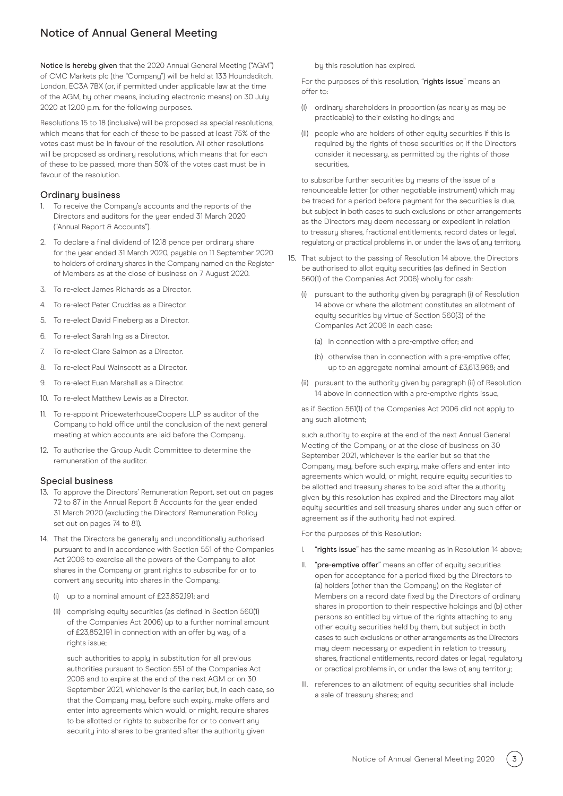# Notice of Annual General Meeting

Notice is hereby given that the 2020 Annual General Meeting ("AGM") of CMC Markets plc (the "Company") will be held at 133 Houndsditch, London, EC3A 7BX (or, if permitted under applicable law at the time of the AGM, by other means, including electronic means) on 30 July 2020 at 12.00 p.m. for the following purposes.

Resolutions 15 to 18 (inclusive) will be proposed as special resolutions, which means that for each of these to be passed at least 75% of the votes cast must be in favour of the resolution. All other resolutions will be proposed as ordinary resolutions, which means that for each of these to be passed, more than 50% of the votes cast must be in favour of the resolution.

## Ordinary business

- 1. To receive the Company's accounts and the reports of the Directors and auditors for the year ended 31 March 2020 ("Annual Report & Accounts").
- 2. To declare a final dividend of 12.18 pence per ordinary share for the year ended 31 March 2020, payable on 11 September 2020 to holders of ordinary shares in the Company named on the Register of Members as at the close of business on 7 August 2020.
- 3. To re-elect James Richards as a Director.
- 4. To re-elect Peter Cruddas as a Director.
- 5. To re-elect David Fineberg as a Director.
- 6. To re-elect Sarah Ing as a Director.
- 7. To re-elect Clare Salmon as a Director.
- 8. To re-elect Paul Wainscott as a Director.
- 9. To re-elect Euan Marshall as a Director.
- 10. To re-elect Matthew Lewis as a Director.
- 11. To re-appoint PricewaterhouseCoopers LLP as auditor of the Company to hold office until the conclusion of the next general meeting at which accounts are laid before the Company.
- 12. To authorise the Group Audit Committee to determine the remuneration of the auditor.

## Special business

- 13. To approve the Directors' Remuneration Report, set out on pages 72 to 87 in the Annual Report & Accounts for the year ended 31 March 2020 (excluding the Directors' Remuneration Policy set out on pages 74 to 81).
- 14. That the Directors be generally and unconditionally authorised pursuant to and in accordance with Section 551 of the Companies Act 2006 to exercise all the powers of the Company to allot shares in the Company or grant rights to subscribe for or to convert any security into shares in the Company:
	- (i) up to a nominal amount of £23,852,191; and
	- (ii) comprising equity securities (as defined in Section 560(1) of the Companies Act 2006) up to a further nominal amount of £23,852,191 in connection with an offer by way of a rights issue;

 such authorities to apply in substitution for all previous authorities pursuant to Section 551 of the Companies Act 2006 and to expire at the end of the next AGM or on 30 September 2021, whichever is the earlier, but, in each case, so that the Company may, before such expiry, make offers and enter into agreements which would, or might, require shares to be allotted or rights to subscribe for or to convert any security into shares to be granted after the authority given

by this resolution has expired.

For the purposes of this resolution, "rights issue" means an offer to:

- (I) ordinary shareholders in proportion (as nearly as may be practicable) to their existing holdings; and
- (II) people who are holders of other equity securities if this is required by the rights of those securities or, if the Directors consider it necessary, as permitted by the rights of those securities,

 to subscribe further securities by means of the issue of a renounceable letter (or other negotiable instrument) which may be traded for a period before payment for the securities is due, but subject in both cases to such exclusions or other arrangements as the Directors may deem necessary or expedient in relation to treasury shares, fractional entitlements, record dates or legal, regulatory or practical problems in, or under the laws of, any territory.

- 15. That subject to the passing of Resolution 14 above, the Directors be authorised to allot equity securities (as defined in Section 560(1) of the Companies Act 2006) wholly for cash:
	- (i) pursuant to the authority given by paragraph (i) of Resolution 14 above or where the allotment constitutes an allotment of equity securities by virtue of Section 560(3) of the Companies Act 2006 in each case:
		- (a) in connection with a pre-emptive offer; and
		- (b) otherwise than in connection with a pre-emptive offer, up to an aggregate nominal amount of £3,613,968; and
	- (ii) pursuant to the authority given by paragraph (ii) of Resolution 14 above in connection with a pre-emptive rights issue,

 as if Section 561(1) of the Companies Act 2006 did not apply to any such allotment;

 such authority to expire at the end of the next Annual General Meeting of the Company or at the close of business on 30 September 2021, whichever is the earlier but so that the Company may, before such expiry, make offers and enter into agreements which would, or might, require equity securities to be allotted and treasury shares to be sold after the authority given by this resolution has expired and the Directors may allot equity securities and sell treasury shares under any such offer or agreement as if the authority had not expired.

For the purposes of this Resolution:

- I. "rights issue" has the same meaning as in Resolution 14 above;
- II. "pre-emptive offer" means an offer of equity securities open for acceptance for a period fixed by the Directors to (a) holders (other than the Company) on the Register of Members on a record date fixed by the Directors of ordinary shares in proportion to their respective holdings and (b) other persons so entitled by virtue of the rights attaching to any other equity securities held by them, but subject in both cases to such exclusions or other arrangements as the Directors may deem necessary or expedient in relation to treasury shares, fractional entitlements, record dates or legal, regulatory or practical problems in, or under the laws of, any territory;
- III. references to an allotment of equity securities shall include a sale of treasury shares; and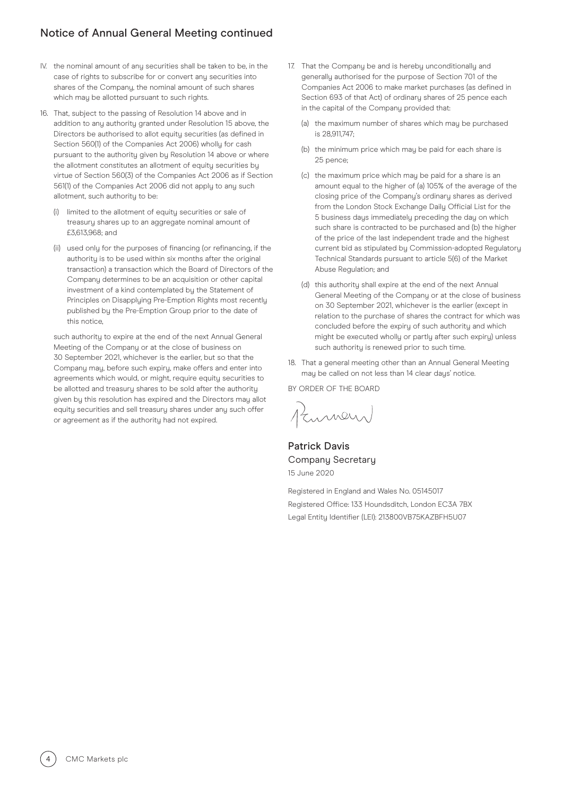# Notice of Annual General Meeting continued

- IV. the nominal amount of any securities shall be taken to be, in the case of rights to subscribe for or convert any securities into shares of the Company, the nominal amount of such shares which may be allotted pursuant to such rights.
- 16. That, subject to the passing of Resolution 14 above and in addition to any authority granted under Resolution 15 above, the Directors be authorised to allot equity securities (as defined in Section 560(1) of the Companies Act 2006) wholly for cash pursuant to the authority given by Resolution 14 above or where the allotment constitutes an allotment of equity securities by virtue of Section 560(3) of the Companies Act 2006 as if Section 561(1) of the Companies Act 2006 did not apply to any such allotment, such authority to be:
	- (i) limited to the allotment of equity securities or sale of treasury shares up to an aggregate nominal amount of £3,613,968; and
	- (ii) used only for the purposes of financing (or refinancing, if the authority is to be used within six months after the original transaction) a transaction which the Board of Directors of the Company determines to be an acquisition or other capital investment of a kind contemplated by the Statement of Principles on Disappluing Pre-Emption Rights most recently published by the Pre-Emption Group prior to the date of this notice,

 such authority to expire at the end of the next Annual General Meeting of the Company or at the close of business on 30 September 2021, whichever is the earlier, but so that the Company may, before such expiry, make offers and enter into agreements which would, or might, require equity securities to be allotted and treasury shares to be sold after the authority given by this resolution has expired and the Directors may allot equity securities and sell treasury shares under any such offer or agreement as if the authority had not expired.

- 17. That the Company be and is hereby unconditionally and generally authorised for the purpose of Section 701 of the Companies Act 2006 to make market purchases (as defined in Section 693 of that Act) of ordinary shares of 25 pence each in the capital of the Company provided that:
	- (a) the maximum number of shares which may be purchased is 28,911,747
	- (b) the minimum price which may be paid for each share is 25 pence;
	- (c) the maximum price which may be paid for a share is an amount equal to the higher of (a) 105% of the average of the closing price of the Company's ordinary shares as derived from the London Stock Exchange Daily Official List for the 5 business days immediately preceding the day on which such share is contracted to be purchased and (b) the higher of the price of the last independent trade and the highest current bid as stipulated by Commission-adopted Regulatory Technical Standards pursuant to article 5(6) of the Market Abuse Regulation; and
	- (d) this authority shall expire at the end of the next Annual General Meeting of the Company or at the close of business on 30 September 2021, whichever is the earlier (except in relation to the purchase of shares the contract for which was concluded before the expiry of such authority and which might be executed wholly or partly after such expiry) unless such authority is renewed prior to such time.
- 18. That a general meeting other than an Annual General Meeting may be called on not less than 14 clear days' notice.

BY ORDER OF THE BOARD

Kumen

Patrick Davis Company Secretary 15 June 2020

Registered in England and Wales No. 05145017 Registered Office: 133 Houndsditch, London EC3A 7BX Legal Entity Identifier (LEI): 213800VB75KAZBFH5U07

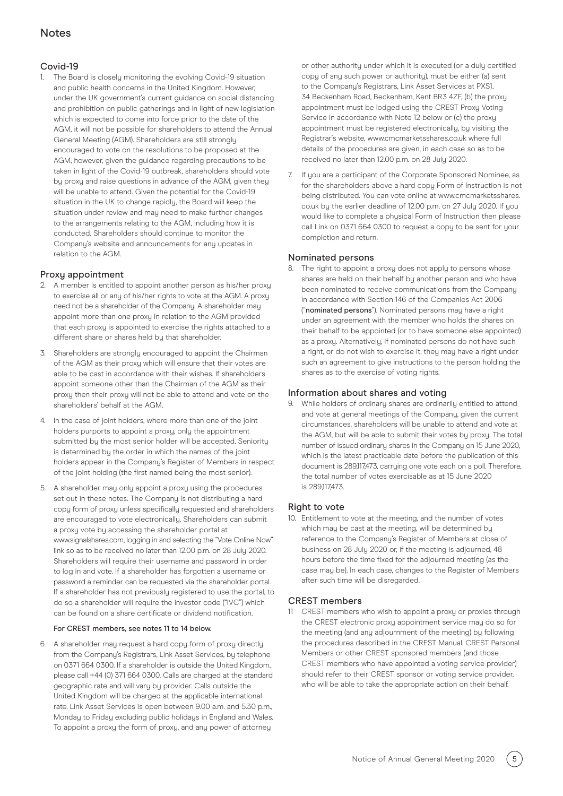# **Notes**

## Covid-19

The Board is closely monitoring the evolving Covid-19 situation and public health concerns in the United Kingdom. However, under the UK government's current guidance on social distancing and prohibition on public gatherings and in light of new legislation which is expected to come into force prior to the date of the AGM, it will not be possible for shareholders to attend the Annual General Meeting (AGM). Shareholders are still strongly encouraged to vote on the resolutions to be proposed at the AGM, however, given the guidance regarding precautions to be taken in light of the Covid-19 outbreak, shareholders should vote by proxy and raise questions in advance of the AGM, given they will be unable to attend. Given the potential for the Covid-19 situation in the UK to change rapidly, the Board will keep the situation under review and may need to make further changes to the arrangements relating to the AGM, including how it is conducted. Shareholders should continue to monitor the Company's website and announcements for any updates in relation to the AGM.

## Proxy appointment

- 2. A member is entitled to appoint another person as his/her proxy to exercise all or any of his/her rights to vote at the AGM. A proxy need not be a shareholder of the Company. A shareholder may appoint more than one proxy in relation to the AGM provided that each proxy is appointed to exercise the rights attached to a different share or shares held by that shareholder.
- 3. Shareholders are strongly encouraged to appoint the Chairman of the AGM as their proxy which will ensure that their votes are able to be cast in accordance with their wishes. If shareholders appoint someone other than the Chairman of the AGM as their proxy then their proxy will not be able to attend and vote on the shareholders' behalf at the AGM.
- 4. In the case of joint holders, where more than one of the joint holders purports to appoint a proxy, only the appointment submitted by the most senior holder will be accepted. Seniority is determined by the order in which the names of the joint holders appear in the Company's Register of Members in respect of the joint holding (the first named being the most senior).
- 5. A shareholder may only appoint a proxy using the procedures set out in these notes. The Company is not distributing a hard copy form of proxy unless specifically requested and shareholders are encouraged to vote electronically. Shareholders can submit a proxy vote by accessing the shareholder portal at www.signalshares.com, logging in and selecting the "Vote Online Now" link so as to be received no later than 12.00 p.m. on 28 July 2020. Shareholders will require their username and password in order to log in and vote. If a shareholder has forgotten a username or password a reminder can be requested via the shareholder portal. If a shareholder has not previously registered to use the portal, to do so a shareholder will require the investor code ("IVC") which can be found on a share certificate or dividend notification.

#### For CREST members, see notes 11 to 14 below.

6. A shareholder may request a hard copy form of proxy directly from the Company's Registrars, Link Asset Services, by telephone on 0371 664 0300. If a shareholder is outside the United Kingdom, please call +44 (0) 371 664 0300. Calls are charged at the standard geographic rate and will vary by provider. Calls outside the United Kingdom will be charged at the applicable international rate. Link Asset Services is open between 9.00 a.m. and 5.30 p.m., Monday to Friday excluding public holidays in England and Wales. To appoint a proxy the form of proxy, and any power of attorney

or other authority under which it is executed (or a duly certified copy of any such power or authority), must be either (a) sent to the Company's Registrars, Link Asset Services at PXS1, 34 Beckenham Road, Beckenham, Kent BR3 4ZF, (b) the proxy appointment must be lodged using the CREST Proxy Voting Service in accordance with Note 12 below or (c) the proxy appointment must be registered electronically, by visiting the Registrar's website, www.cmcmarketsshares.co.uk where full details of the procedures are given, in each case so as to be received no later than 12.00 p.m. on 28 July 2020.

7. If you are a participant of the Corporate Sponsored Nominee, as for the shareholders above a hard copy Form of Instruction is not being distributed. You can vote online at www.cmcmarketsshares. co.uk by the earlier deadline of 12.00 p.m. on 27 July 2020. If you would like to complete a physical Form of Instruction then please call Link on 0371 664 0300 to request a copy to be sent for your completion and return.

## Nominated persons

8. The right to appoint a proxy does not apply to persons whose shares are held on their behalf by another person and who have been nominated to receive communications from the Company in accordance with Section 146 of the Companies Act 2006 ("nominated persons"). Nominated persons may have a right under an agreement with the member who holds the shares on their behalf to be appointed (or to have someone else appointed) as a proxy. Alternatively, if nominated persons do not have such a right, or do not wish to exercise it, they may have a right under such an agreement to give instructions to the person holding the shares as to the exercise of voting rights.

## Information about shares and voting

9. While holders of ordinary shares are ordinarily entitled to attend and vote at general meetings of the Company, given the current circumstances, shareholders will be unable to attend and vote at the AGM, but will be able to submit their votes by proxy. The total number of issued ordinary shares in the Company on 15 June 2020, which is the latest practicable date before the publication of this document is 289,117,473, carrying one vote each on a poll. Therefore, the total number of votes exercisable as at 15 June 2020 is 289117473.

## Right to vote

10. Entitlement to vote at the meeting, and the number of votes which may be cast at the meeting, will be determined by reference to the Company's Register of Members at close of business on 28 July 2020 or, if the meeting is adjourned, 48 hours before the time fixed for the adjourned meeting (as the case may be). In each case, changes to the Register of Members after such time will be disregarded.

#### CREST members

11 CREST members who wish to appoint a proxy or proxies through the CREST electronic proxy appointment service may do so for the meeting (and any adjournment of the meeting) by following the procedures described in the CREST Manual. CREST Personal Members or other CREST sponsored members (and those CREST members who have appointed a voting service provider) should refer to their CREST sponsor or voting service provider, who will be able to take the appropriate action on their behalf.

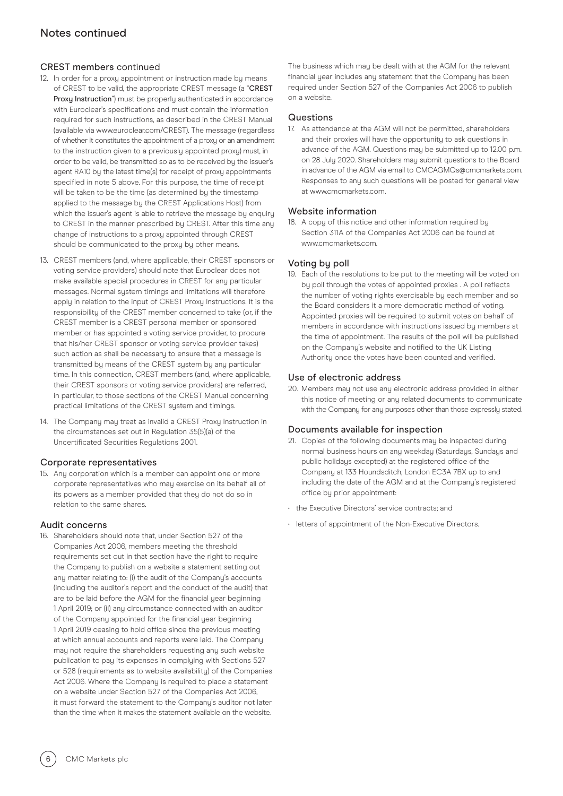## CREST members continued

- 12. In order for a proxy appointment or instruction made by means of CREST to be valid, the appropriate CREST message (a "CREST Proxy Instruction") must be properly authenticated in accordance with Euroclear's specifications and must contain the information required for such instructions, as described in the CREST Manual (available via www.euroclear.com/CREST). The message (regardless of whether it constitutes the appointment of a proxy or an amendment to the instruction given to a previously appointed proxy) must, in order to be valid, be transmitted so as to be received by the issuer's agent RA10 by the latest time(s) for receipt of proxy appointments specified in note 5 above. For this purpose, the time of receipt will be taken to be the time (as determined by the timestamp applied to the message by the CREST Applications Host) from which the issuer's agent is able to retrieve the message by enquiry to CREST in the manner prescribed by CREST. After this time any change of instructions to a proxy appointed through CREST should be communicated to the proxy by other means.
- 13. CREST members (and, where applicable, their CREST sponsors or voting service providers) should note that Euroclear does not make available special procedures in CREST for any particular messages. Normal system timings and limitations will therefore apply in relation to the input of CREST Proxy Instructions. It is the responsibility of the CREST member concerned to take (or, if the CREST member is a CREST personal member or sponsored member or has appointed a voting service provider, to procure that his/her CREST sponsor or voting service provider takes) such action as shall be necessary to ensure that a message is transmitted by means of the CREST system by any particular time. In this connection, CREST members (and, where applicable, their CREST sponsors or voting service providers) are referred, in particular, to those sections of the CREST Manual concerning practical limitations of the CREST system and timings.
- 14. The Company may treat as invalid a CREST Proxy Instruction in the circumstances set out in Regulation 35(5)(a) of the Uncertificated Securities Regulations 2001.

## Corporate representatives

15. Any corporation which is a member can appoint one or more corporate representatives who may exercise on its behalf all of its powers as a member provided that they do not do so in relation to the same shares.

## Audit concerns

16. Shareholders should note that, under Section 527 of the Companies Act 2006, members meeting the threshold requirements set out in that section have the right to require the Company to publish on a website a statement setting out any matter relating to: (i) the audit of the Company's accounts (including the auditor's report and the conduct of the audit) that are to be laid before the AGM for the financial year beginning 1 April 2019; or (ii) any circumstance connected with an auditor of the Company appointed for the financial year beginning 1 April 2019 ceasing to hold office since the previous meeting at which annual accounts and reports were laid. The Company may not require the shareholders requesting any such website publication to pay its expenses in complying with Sections 527 or 528 (requirements as to website availability) of the Companies Act 2006. Where the Company is required to place a statement on a website under Section 527 of the Companies Act 2006, it must forward the statement to the Company's auditor not later than the time when it makes the statement available on the website.

The business which may be dealt with at the AGM for the relevant financial year includes any statement that the Company has been required under Section 527 of the Companies Act 2006 to publish on a website.

## Questions

17. As attendance at the AGM will not be permitted, shareholders and their proxies will have the opportunity to ask questions in advance of the AGM. Questions may be submitted up to 12.00 p.m. on 28 July 2020. Shareholders may submit questions to the Board in advance of the AGM via email to CMCAGMQs@cmcmarkets.com. Responses to any such questions will be posted for general view at www.cmcmarkets.com.

#### Website information

18. A copy of this notice and other information required by Section 311A of the Companies Act 2006 can be found at www.cmcmarkets.com.

#### Voting by poll

19. Each of the resolutions to be put to the meeting will be voted on by poll through the votes of appointed proxies . A poll reflects the number of voting rights exercisable by each member and so the Board considers it a more democratic method of voting. Appointed proxies will be required to submit votes on behalf of members in accordance with instructions issued by members at the time of appointment. The results of the poll will be published on the Company's website and notified to the UK Listing Authority once the votes have been counted and verified.

#### Use of electronic address

20. Members may not use any electronic address provided in either this notice of meeting or any related documents to communicate with the Company for any purposes other than those expresslu stated.

#### Documents available for inspection

- 21. Copies of the following documents may be inspected during normal business hours on any weekday (Saturdays, Sundays and public holidays excepted) at the registered office of the Company at 133 Houndsditch, London EC3A 7BX up to and including the date of the AGM and at the Company's registered office by prior appointment:
- the Executive Directors' service contracts; and
- letters of appointment of the Non-Executive Directors.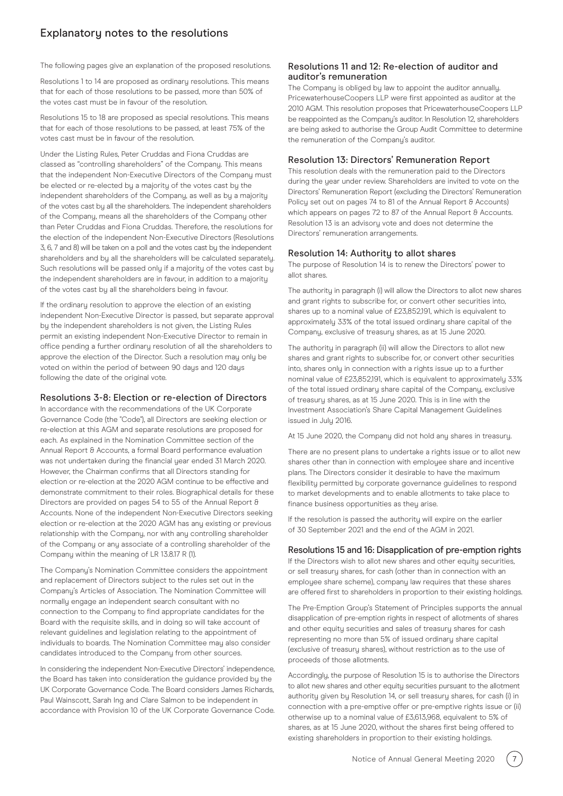# Explanatory notes to the resolutions

The following pages give an explanation of the proposed resolutions.

Resolutions 1 to 14 are proposed as ordinary resolutions. This means that for each of those resolutions to be passed, more than 50% of the votes cast must be in favour of the resolution.

Resolutions 15 to 18 are proposed as special resolutions. This means that for each of those resolutions to be passed, at least 75% of the votes cast must be in favour of the resolution.

Under the Listing Rules, Peter Cruddas and Fiona Cruddas are classed as "controlling shareholders" of the Company. This means that the independent Non-Executive Directors of the Company must be elected or re-elected by a majority of the votes cast by the independent shareholders of the Company, as well as by a majority of the votes cast by all the shareholders. The independent shareholders of the Company, means all the shareholders of the Company other than Peter Cruddas and Fiona Cruddas. Therefore, the resolutions for the election of the independent Non-Executive Directors (Resolutions 3, 6, 7 and 8) will be taken on a poll and the votes cast by the independent shareholders and by all the shareholders will be calculated separately. Such resolutions will be passed only if a majority of the votes cast by the independent shareholders are in favour, in addition to a majority of the votes cast by all the shareholders being in favour.

If the ordinary resolution to approve the election of an existing independent Non-Executive Director is passed, but separate approval by the independent shareholders is not given, the Listing Rules permit an existing independent Non-Executive Director to remain in office pending a further ordinary resolution of all the shareholders to approve the election of the Director. Such a resolution may only be voted on within the period of between 90 days and 120 days following the date of the original vote.

#### Resolutions 3-8: Election or re-election of Directors

In accordance with the recommendations of the UK Corporate Governance Code (the "Code"), all Directors are seeking election or re-election at this AGM and separate resolutions are proposed for each. As explained in the Nomination Committee section of the Annual Report & Accounts, a formal Board performance evaluation was not undertaken during the financial year ended 31 March 2020. However, the Chairman confirms that all Directors standing for election or re-election at the 2020 AGM continue to be effective and demonstrate commitment to their roles. Biographical details for these Directors are provided on pages 54 to 55 of the Annual Report & Accounts. None of the independent Non-Executive Directors seeking election or re-election at the 2020 AGM has any existing or previous relationship with the Company, nor with any controlling shareholder of the Company or any associate of a controlling shareholder of the Company within the meaning of LR 13.8.17 R (1).

The Company's Nomination Committee considers the appointment and replacement of Directors subject to the rules set out in the Company's Articles of Association. The Nomination Committee will normally engage an independent search consultant with no connection to the Company to find appropriate candidates for the Board with the requisite skills, and in doing so will take account of relevant guidelines and legislation relating to the appointment of individuals to boards. The Nomination Committee may also consider candidates introduced to the Company from other sources.

In considering the independent Non-Executive Directors' independence, the Board has taken into consideration the guidance provided by the UK Corporate Governance Code. The Board considers James Richards, Paul Wainscott, Sarah Ing and Clare Salmon to be independent in accordance with Provision 10 of the UK Corporate Governance Code.

#### Resolutions 11 and 12: Re-election of auditor and auditor's remuneration

The Company is obliged by law to appoint the auditor annually. PricewaterhouseCoopers LLP were first appointed as auditor at the 2010 AGM. This resolution proposes that PricewaterhouseCoopers LLP be reappointed as the Company's auditor. In Resolution 12, shareholders are being asked to authorise the Group Audit Committee to determine the remuneration of the Company's auditor.

#### Resolution 13: Directors' Remuneration Report

This resolution deals with the remuneration paid to the Directors during the year under review. Shareholders are invited to vote on the Directors' Remuneration Report (excluding the Directors' Remuneration Policy set out on pages 74 to 81 of the Annual Report & Accounts) which appears on pages 72 to 87 of the Annual Report & Accounts. Resolution 13 is an advisory vote and does not determine the Directors' remuneration arrangements.

#### Resolution 14: Authority to allot shares

The purpose of Resolution 14 is to renew the Directors' power to allot shares.

The authority in paragraph (i) will allow the Directors to allot new shares and grant rights to subscribe for, or convert other securities into, shares up to a nominal value of £23,852,191, which is equivalent to approximately 33% of the total issued ordinary share capital of the Company, exclusive of treasury shares, as at 15 June 2020.

The authoritu in paragraph (ii) will allow the Directors to allot new shares and grant rights to subscribe for, or convert other securities into, shares only in connection with a rights issue up to a further nominal value of £23,852,191, which is equivalent to approximately 33% of the total issued ordinary share capital of the Company, exclusive of treasury shares, as at 15 June 2020. This is in line with the Investment Association's Share Capital Management Guidelines issued in July 2016.

At 15 June 2020, the Company did not hold any shares in treasury.

There are no present plans to undertake a rights issue or to allot new shares other than in connection with employee share and incentive plans. The Directors consider it desirable to have the maximum flexibility permitted by corporate governance guidelines to respond to market developments and to enable allotments to take place to finance business opportunities as they arise.

If the resolution is passed the authority will expire on the earlier of 30 September 2021 and the end of the AGM in 2021.

#### Resolutions 15 and 16: Disapplication of pre-emption rights

If the Directors wish to allot new shares and other equity securities, or sell treasury shares, for cash (other than in connection with an employee share scheme), company law requires that these shares are offered first to shareholders in proportion to their existing holdings.

The Pre-Emption Group's Statement of Principles supports the annual disapplication of pre-emption rights in respect of allotments of shares and other equity securities and sales of treasury shares for cash representing no more than 5% of issued ordinary share capital (exclusive of treasury shares), without restriction as to the use of proceeds of those allotments.

Accordingly, the purpose of Resolution 15 is to authorise the Directors to allot new shares and other equity securities pursuant to the allotment authority given by Resolution 14, or sell treasury shares, for cash (i) in connection with a pre-emptive offer or pre-emptive rights issue or (ii) otherwise up to a nominal value of £3,613,968, equivalent to 5% of shares, as at 15 June 2020, without the shares first being offered to existing shareholders in proportion to their existing holdings.